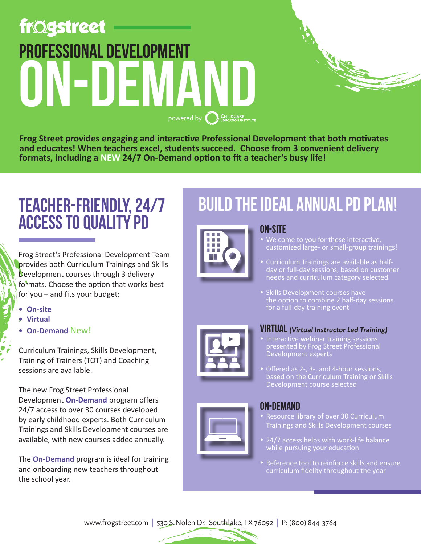# **frögstreet** professional development ON-DEN **POWERED BY CONCLUSION INSTITUTE**

**Frog Street provides engaging and interactive Professional Development that both motivates and educates! When teachers excel, students succeed. Choose from 3 convenient delivery formats, including a NEW 24/7 On-Demand option to fit a teacher's busy life!**

### teacher-friendly, 24/7 access to quality PD

Frog Street's Professional Development Team provides both Curriculum Trainings and Skills Development courses through 3 delivery formats. Choose the option that works best for you – and fits your budget:

- **• On-site**
- **• Virtual**
- **• On-Demand** New!

Curriculum Trainings, Skills Development, Training of Trainers (TOT) and Coaching sessions are available.

The new Frog Street Professional Development **On-Demand** program offers 24/7 access to over 30 courses developed by early childhood experts. Both Curriculum Trainings and Skills Development courses are available, with new courses added annually.

The **On-Demand** program is ideal for training and onboarding new teachers throughout the school year.

## Build the Ideal Annual PD Plan!



#### on-site We come to you for these interactive, customized large- or small-group trainings!

- Curriculum Trainings are available as halfday or full-day sessions, based on customer needs and curriculum category selected
- Skills Development courses have the option to combine 2 half-day sessions for a full-day training event



#### VIRTUAL **(Virtual Instructor Led Training)**

- Interactive webinar training sessions presented by Frog Street Professional Development experts
- Offered as 2-, 3-, and 4-hour sessions, based on the Curriculum Training or Skills Development course selected



#### on-demand

- Resource library of over 30 Curriculum Trainings and Skills Development courses
- 24/7 access helps with work-life balance while pursuing your education
- Reference tool to reinforce skills and ensure curriculum fidelity throughout the year